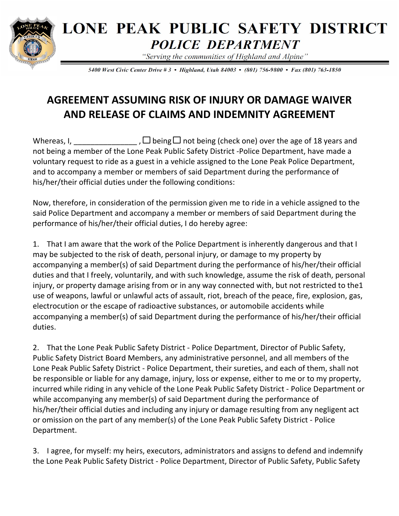

## **LONE PEAK PUBLIC SAFETY DISTRICT POLICE DEPARTMENT**

"Serving the communities of Highland and Alpine"

5400 West Civic Center Drive # 3 • Highland, Utah 84003 • (801) 756-9800 • Fax (801) 763-1850

## **AGREEMENT ASSUMING RISK OF INJURY OR DAMAGE WAIVER AND RELEASE OF CLAIMS AND INDEMNITY AGREEMENT**

Whereas, I,  $\Box$  being  $\Box$  not being (check one) over the age of 18 years and not being a member of the Lone Peak Public Safety District -Police Department, have made a voluntary request to ride as a guest in a vehicle assigned to the Lone Peak Police Department, and to accompany a member or members of said Department during the performance of his/her/their official duties under the following conditions:

Now, therefore, in consideration of the permission given me to ride in a vehicle assigned to the said Police Department and accompany a member or members of said Department during the performance of his/her/their official duties, I do hereby agree:

1. That I am aware that the work of the Police Department is inherently dangerous and that I may be subjected to the risk of death, personal injury, or damage to my property by accompanying a member(s) of said Department during the performance of his/her/their official duties and that I freely, voluntarily, and with such knowledge, assume the risk of death, personal injury, or property damage arising from or in any way connected with, but not restricted to the1 use of weapons, lawful or unlawful acts of assault, riot, breach of the peace, fire, explosion, gas, electrocution or the escape of radioactive substances, or automobile accidents while accompanying a member(s) of said Department during the performance of his/her/their official duties.

2. That the Lone Peak Public Safety District - Police Department, Director of Public Safety, Public Safety District Board Members, any administrative personnel, and all members of the Lone Peak Public Safety District - Police Department, their sureties, and each of them, shall not be responsible or liable for any damage, injury, loss or expense, either to me or to my property, incurred while riding in any vehicle of the Lone Peak Public Safety District - Police Department or while accompanying any member(s) of said Department during the performance of his/her/their official duties and including any injury or damage resulting from any negligent act or omission on the part of any member(s) of the Lone Peak Public Safety District - Police Department.

3. I agree, for myself: my heirs, executors, administrators and assigns to defend and indemnify the Lone Peak Public Safety District - Police Department, Director of Public Safety, Public Safety